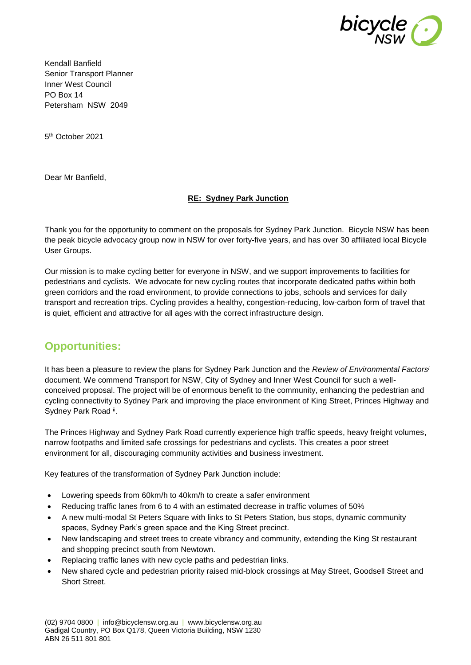

Kendall Banfield Senior Transport Planner Inner West Council PO Box 14 Petersham NSW 2049

5 th October 2021

Dear Mr Banfield,

#### **RE: Sydney Park Junction**

Thank you for the opportunity to comment on the proposals for Sydney Park Junction. Bicycle NSW has been the peak bicycle advocacy group now in NSW for over forty-five years, and has over 30 affiliated local Bicycle User Groups.

Our mission is to make cycling better for everyone in NSW, and we support improvements to facilities for pedestrians and cyclists. We advocate for new cycling routes that incorporate dedicated paths within both green corridors and the road environment, to provide connections to jobs, schools and services for daily transport and recreation trips. Cycling provides a healthy, congestion-reducing, low-carbon form of travel that is quiet, efficient and attractive for all ages with the correct infrastructure design.

## **Opportunities:**

It has been a pleasure to review the plans for Sydney Park Junction and the *Review of Environmental Factors<sup>i</sup>* document. We commend Transport for NSW, City of Sydney and Inner West Council for such a wellconceived proposal. The project will be of enormous benefit to the community, enhancing the pedestrian and cycling connectivity to Sydney Park and improving the place environment of King Street, Princes Highway and Sydney Park Road ii.

The Princes Highway and Sydney Park Road currently experience high traffic speeds, heavy freight volumes, narrow footpaths and limited safe crossings for pedestrians and cyclists. This creates a poor street environment for all, discouraging community activities and business investment.

Key features of the transformation of Sydney Park Junction include:

- Lowering speeds from 60km/h to 40km/h to create a safer environment
- Reducing traffic lanes from 6 to 4 with an estimated decrease in traffic volumes of 50%
- A new multi-modal St Peters Square with links to St Peters Station, bus stops, dynamic community spaces, Sydney Park's green space and the King Street precinct.
- New landscaping and street trees to create vibrancy and community, extending the King St restaurant and shopping precinct south from Newtown.
- Replacing traffic lanes with new cycle paths and pedestrian links.
- New shared cycle and pedestrian priority raised mid-block crossings at May Street, Goodsell Street and Short Street.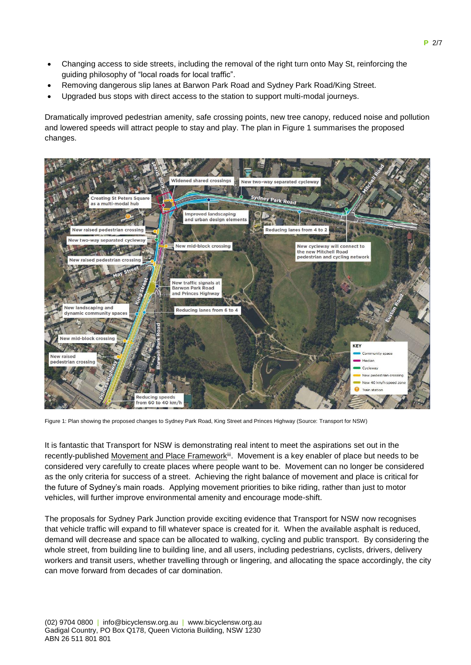- Changing access to side streets, including the removal of the right turn onto May St, reinforcing the guiding philosophy of "local roads for local traffic".
- Removing dangerous slip lanes at Barwon Park Road and Sydney Park Road/King Street.
- Upgraded bus stops with direct access to the station to support multi-modal journeys.

Dramatically improved pedestrian amenity, safe crossing points, new tree canopy, reduced noise and pollution and lowered speeds will attract people to stay and play. The plan in Figure 1 summarises the proposed changes.



Figure 1: Plan showing the proposed changes to Sydney Park Road, King Street and Princes Highway (Source: Transport for NSW)

It is fantastic that Transport for NSW is demonstrating real intent to meet the aspirations set out in the recently-published Movement and Place Framework<sup>iii</sup>. Movement is a key enabler of place but needs to be considered very carefully to create places where people want to be. Movement can no longer be considered as the only criteria for success of a street. Achieving the right balance of movement and place is critical for the future of Sydney's main roads. Applying movement priorities to bike riding, rather than just to motor vehicles, will further improve environmental amenity and encourage mode-shift.

The proposals for Sydney Park Junction provide exciting evidence that Transport for NSW now recognises that vehicle traffic will expand to fill whatever space is created for it. When the available asphalt is reduced, demand will decrease and space can be allocated to walking, cycling and public transport. By considering the whole street, from building line to building line, and all users, including pedestrians, cyclists, drivers, delivery workers and transit users, whether travelling through or lingering, and allocating the space accordingly, the city can move forward from decades of car domination.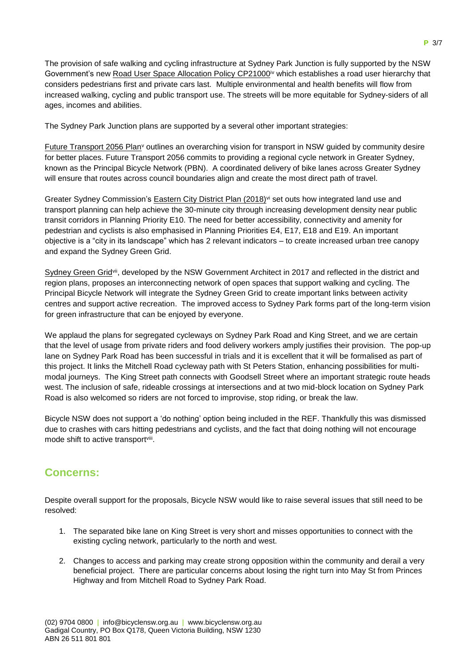The provision of safe walking and cycling infrastructure at Sydney Park Junction is fully supported by the NSW Government's new Road User Space Allocation Policy CP21000<sup>iv</sup> which establishes a road user hierarchy that considers pedestrians first and private cars last. Multiple environmental and health benefits will flow from increased walking, cycling and public transport use. The streets will be more equitable for Sydney-siders of all ages, incomes and abilities.

The Sydney Park Junction plans are supported by a several other important strategies:

Future Transport 2056 Plan<sup>v</sup> outlines an overarching vision for transport in NSW guided by community desire for better places. Future Transport 2056 commits to providing a regional cycle network in Greater Sydney, known as the Principal Bicycle Network (PBN). A coordinated delivery of bike lanes across Greater Sydney will ensure that routes across council boundaries align and create the most direct path of travel.

Greater Sydney Commission's Eastern City District Plan (2018)<sup>vi</sup> set outs how integrated land use and transport planning can help achieve the 30-minute city through increasing development density near public transit corridors in Planning Priority E10. The need for better accessibility, connectivity and amenity for pedestrian and cyclists is also emphasised in Planning Priorities E4, E17, E18 and E19. An important objective is a "city in its landscape" which has 2 relevant indicators – to create increased urban tree canopy and expand the Sydney Green Grid.

Sydney Green Grid<sup>vii</sup>, developed by the NSW Government Architect in 2017 and reflected in the district and region plans, proposes an interconnecting network of open spaces that support walking and cycling. The Principal Bicycle Network will integrate the Sydney Green Grid to create important links between activity centres and support active recreation. The improved access to Sydney Park forms part of the long-term vision for green infrastructure that can be enjoyed by everyone.

We applaud the plans for segregated cycleways on Sydney Park Road and King Street, and we are certain that the level of usage from private riders and food delivery workers amply justifies their provision. The pop-up lane on Sydney Park Road has been successful in trials and it is excellent that it will be formalised as part of this project. It links the Mitchell Road cycleway path with St Peters Station, enhancing possibilities for multimodal journeys. The King Street path connects with Goodsell Street where an important strategic route heads west. The inclusion of safe, rideable crossings at intersections and at two mid-block location on Sydney Park Road is also welcomed so riders are not forced to improvise, stop riding, or break the law.

Bicycle NSW does not support a 'do nothing' option being included in the REF. Thankfully this was dismissed due to crashes with cars hitting pedestrians and cyclists, and the fact that doing nothing will not encourage mode shift to active transportviii.

## **Concerns:**

Despite overall support for the proposals, Bicycle NSW would like to raise several issues that still need to be resolved:

- 1. The separated bike lane on King Street is very short and misses opportunities to connect with the existing cycling network, particularly to the north and west.
- 2. Changes to access and parking may create strong opposition within the community and derail a very beneficial project. There are particular concerns about losing the right turn into May St from Princes Highway and from Mitchell Road to Sydney Park Road.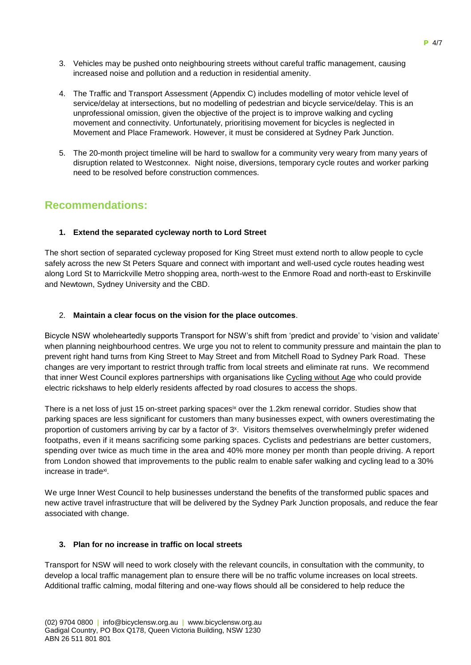- 3. Vehicles may be pushed onto neighbouring streets without careful traffic management, causing increased noise and pollution and a reduction in residential amenity.
- 4. The Traffic and Transport Assessment (Appendix C) includes modelling of motor vehicle level of service/delay at intersections, but no modelling of pedestrian and bicycle service/delay. This is an unprofessional omission, given the objective of the project is to improve walking and cycling movement and connectivity. Unfortunately, prioritising movement for bicycles is neglected in Movement and Place Framework. However, it must be considered at Sydney Park Junction.
- 5. The 20-month project timeline will be hard to swallow for a community very weary from many years of disruption related to Westconnex. Night noise, diversions, temporary cycle routes and worker parking need to be resolved before construction commences.

## **Recommendations:**

### **1. Extend the separated cycleway north to Lord Street**

The short section of separated cycleway proposed for King Street must extend north to allow people to cycle safely across the new St Peters Square and connect with important and well-used cycle routes heading west along Lord St to Marrickville Metro shopping area, north-west to the Enmore Road and north-east to Erskinville and Newtown, Sydney University and the CBD.

### 2. **Maintain a clear focus on the vision for the place outcomes**.

Bicycle NSW wholeheartedly supports Transport for NSW's shift from 'predict and provide' to 'vision and validate' when planning neighbourhood centres. We urge you not to relent to community pressure and maintain the plan to prevent right hand turns from King Street to May Street and from Mitchell Road to Sydney Park Road. These changes are very important to restrict through traffic from local streets and eliminate rat runs. We recommend that inner West Council explores partnerships with organisations like [Cycling without Age](https://cyclingwithoutage.org.au/) who could provide electric rickshaws to help elderly residents affected by road closures to access the shops.

There is a net loss of just 15 on-street parking spaces<sup>ix</sup> over the 1.2km renewal corridor. Studies show that parking spaces are less significant for customers than many businesses expect, with owners overestimating the proportion of customers arriving by car by a factor of 3<sup>x</sup>. Visitors themselves overwhelmingly prefer widened footpaths, even if it means sacrificing some parking spaces. Cyclists and pedestrians are better customers, spending over twice as much time in the area and 40% more money per month than people driving. A report from London showed that improvements to the public realm to enable safer walking and cycling lead to a 30% increase in trade<sup>xi</sup>.

We urge Inner West Council to help businesses understand the benefits of the transformed public spaces and new active travel infrastructure that will be delivered by the Sydney Park Junction proposals, and reduce the fear associated with change.

#### **3. Plan for no increase in traffic on local streets**

Transport for NSW will need to work closely with the relevant councils, in consultation with the community, to develop a local traffic management plan to ensure there will be no traffic volume increases on local streets. Additional traffic calming, modal filtering and one-way flows should all be considered to help reduce the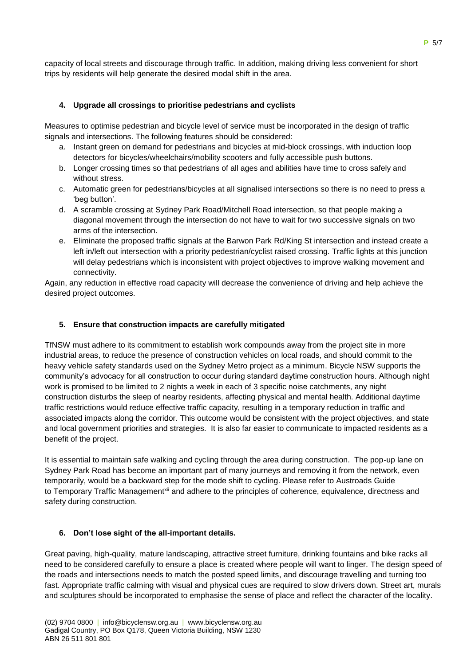capacity of local streets and discourage through traffic. In addition, making driving less convenient for short trips by residents will help generate the desired modal shift in the area.

### **4. Upgrade all crossings to prioritise pedestrians and cyclists**

Measures to optimise pedestrian and bicycle level of service must be incorporated in the design of traffic signals and intersections. The following features should be considered:

- a. Instant green on demand for pedestrians and bicycles at mid-block crossings, with induction loop detectors for bicycles/wheelchairs/mobility scooters and fully accessible push buttons.
- b. Longer crossing times so that pedestrians of all ages and abilities have time to cross safely and without stress.
- c. Automatic green for pedestrians/bicycles at all signalised intersections so there is no need to press a 'beg button'.
- d. A scramble crossing at Sydney Park Road/Mitchell Road intersection, so that people making a diagonal movement through the intersection do not have to wait for two successive signals on two arms of the intersection.
- e. Eliminate the proposed traffic signals at the Barwon Park Rd/King St intersection and instead create a left in/left out intersection with a priority pedestrian/cyclist raised crossing. Traffic lights at this junction will delay pedestrians which is inconsistent with project objectives to improve walking movement and connectivity.

Again, any reduction in effective road capacity will decrease the convenience of driving and help achieve the desired project outcomes.

#### **5. Ensure that construction impacts are carefully mitigated**

TfNSW must adhere to its commitment to establish work compounds away from the project site in more industrial areas, to reduce the presence of construction vehicles on local roads, and should commit to the heavy vehicle safety standards used on the Sydney Metro project as a minimum. Bicycle NSW supports the community's advocacy for all construction to occur during standard daytime construction hours. Although night work is promised to be limited to 2 nights a week in each of 3 specific noise catchments, any night construction disturbs the sleep of nearby residents, affecting physical and mental health. Additional daytime traffic restrictions would reduce effective traffic capacity, resulting in a temporary reduction in traffic and associated impacts along the corridor. This outcome would be consistent with the project objectives, and state and local government priorities and strategies. It is also far easier to communicate to impacted residents as a benefit of the project.

It is essential to maintain safe walking and cycling through the area during construction. The pop-up lane on Sydney Park Road has become an important part of many journeys and removing it from the network, even temporarily, would be a backward step for the mode shift to cycling. Please refer to Austroads Guide to Temporary Traffic Management<sup>xii</sup> and adhere to the principles of coherence, equivalence, directness and safety during construction.

#### **6. Don't lose sight of the all-important details.**

Great paving, high-quality, mature landscaping, attractive street furniture, drinking fountains and bike racks all need to be considered carefully to ensure a place is created where people will want to linger. The design speed of the roads and intersections needs to match the posted speed limits, and discourage travelling and turning too fast. Appropriate traffic calming with visual and physical cues are required to slow drivers down. Street art, murals and sculptures should be incorporated to emphasise the sense of place and reflect the character of the locality.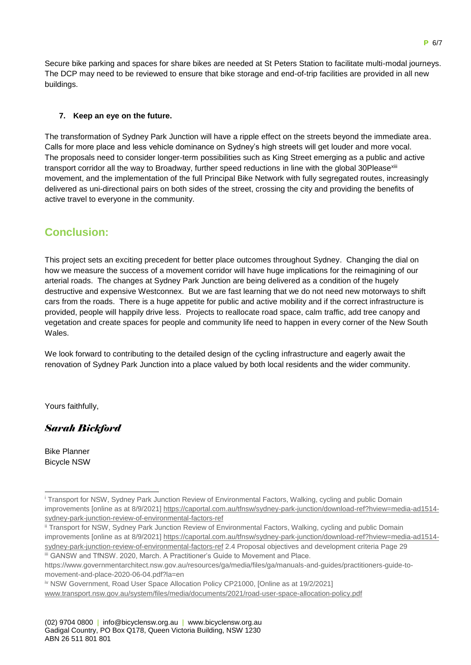Secure bike parking and spaces for share bikes are needed at St Peters Station to facilitate multi-modal journeys. The DCP may need to be reviewed to ensure that bike storage and end-of-trip facilities are provided in all new buildings.

### **7. Keep an eye on the future.**

The transformation of Sydney Park Junction will have a ripple effect on the streets beyond the immediate area. Calls for more place and less vehicle dominance on Sydney's high streets will get louder and more vocal. The proposals need to consider longer-term possibilities such as King Street emerging as a public and active transport corridor all the way to Broadway, further speed reductions in line with the global 30Pleasexiii movement, and the implementation of the full Principal Bike Network with fully segregated routes, increasingly delivered as uni-directional pairs on both sides of the street, crossing the city and providing the benefits of active travel to everyone in the community.

# **Conclusion:**

This project sets an exciting precedent for better place outcomes throughout Sydney. Changing the dial on how we measure the success of a movement corridor will have huge implications for the reimagining of our arterial roads. The changes at Sydney Park Junction are being delivered as a condition of the hugely destructive and expensive Westconnex. But we are fast learning that we do not need new motorways to shift cars from the roads. There is a huge appetite for public and active mobility and if the correct infrastructure is provided, people will happily drive less. Projects to reallocate road space, calm traffic, add tree canopy and vegetation and create spaces for people and community life need to happen in every corner of the New South Wales.

We look forward to contributing to the detailed design of the cycling infrastructure and eagerly await the renovation of Sydney Park Junction into a place valued by both local residents and the wider community.

Yours faithfully,

## *Sarah Bickford*

Bike Planner Bicycle NSW

-

<sup>i</sup> Transport for NSW, Sydney Park Junction Review of Environmental Factors, Walking, cycling and public Domain improvements [online as at 8/9/2021[\] https://caportal.com.au/tfnsw/sydney-park-junction/download-ref?hview=media-ad1514](https://caportal.com.au/tfnsw/sydney-park-junction/download-ref?hview=media-ad1514-sydney-park-junction-review-of-environmental-factors-ref) [sydney-park-junction-review-of-environmental-factors-ref](https://caportal.com.au/tfnsw/sydney-park-junction/download-ref?hview=media-ad1514-sydney-park-junction-review-of-environmental-factors-ref)

ii Transport for NSW, Sydney Park Junction Review of Environmental Factors, Walking, cycling and public Domain improvements [online as at 8/9/2021[\] https://caportal.com.au/tfnsw/sydney-park-junction/download-ref?hview=media-ad1514](https://caportal.com.au/tfnsw/sydney-park-junction/download-ref?hview=media-ad1514-sydney-park-junction-review-of-environmental-factors-ref) [sydney-park-junction-review-of-environmental-factors-ref](https://caportal.com.au/tfnsw/sydney-park-junction/download-ref?hview=media-ad1514-sydney-park-junction-review-of-environmental-factors-ref) 2.4 Proposal objectives and development criteria Page 29 iii GANSW and TfNSW. 2020, March. A Practitioner's Guide to Movement and Place.

https://www.governmentarchitect.nsw.gov.au/resources/ga/media/files/ga/manuals-and-guides/practitioners-guide-tomovement-and-place-2020-06-04.pdf?la=en

iv NSW Government, Road User Space Allocation Policy CP21000, [Online as at 19/2/2021] [www.transport.nsw.gov.au/system/files/media/documents/2021/road-user-space-allocation-policy.pdf](http://www.transport.nsw.gov.au/system/files/media/documents/2021/road-user-space-allocation-policy.pdf)